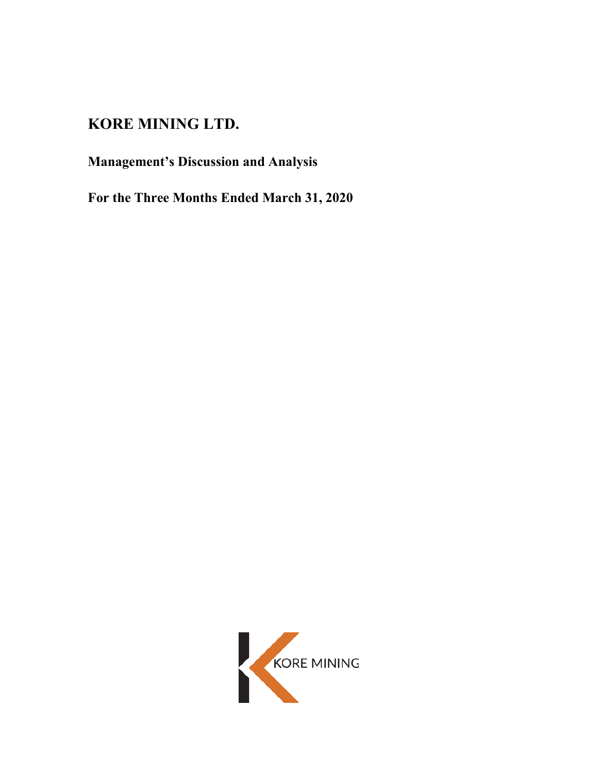# **KORE MINING LTD.**

# **Management's Discussion and Analysis**

**For the Three Months Ended March 31, 2020**

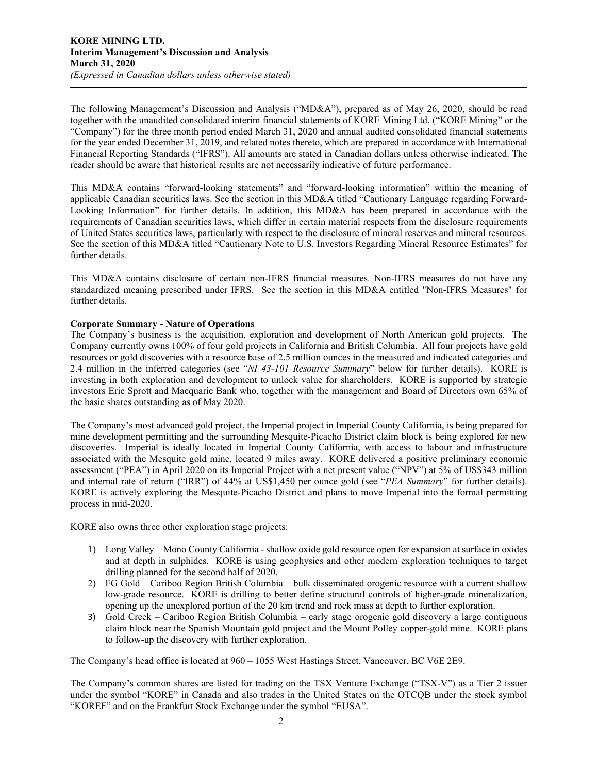The following Management's Discussion and Analysis ("MD&A"), prepared as of May 26, 2020, should be read together with the unaudited consolidated interim financial statements of KORE Mining Ltd. ("KORE Mining" or the "Company") for the three month period ended March 31, 2020 and annual audited consolidated financial statements for the year ended December 31, 2019, and related notes thereto, which are prepared in accordance with International Financial Reporting Standards ("IFRS"). All amounts are stated in Canadian dollars unless otherwise indicated. The reader should be aware that historical results are not necessarily indicative of future performance.

This MD&A contains "forward-looking statements" and "forward-looking information" within the meaning of applicable Canadian securities laws. See the section in this MD&A titled "Cautionary Language regarding Forward-Looking Information" for further details. In addition, this MD&A has been prepared in accordance with the requirements of Canadian securities laws, which differ in certain material respects from the disclosure requirements of United States securities laws, particularly with respect to the disclosure of mineral reserves and mineral resources. See the section of this MD&A titled "Cautionary Note to U.S. Investors Regarding Mineral Resource Estimates" for further details.

This MD&A contains disclosure of certain non-IFRS financial measures. Non-IFRS measures do not have any standardized meaning prescribed under IFRS. See the section in this MD&A entitled "Non-IFRS Measures" for further details.

# **Corporate Summary - Nature of Operations**

The Company's business is the acquisition, exploration and development of North American gold projects. The Company currently owns 100% of four gold projects in California and British Columbia. All four projects have gold resources or gold discoveries with a resource base of 2.5 million ounces in the measured and indicated categories and 2.4 million in the inferred categories (see "*NI 43-101 Resource Summary*" below for further details). KORE is investing in both exploration and development to unlock value for shareholders. KORE is supported by strategic investors Eric Sprott and Macquarie Bank who, together with the management and Board of Directors own 65% of the basic shares outstanding as of May 2020.

The Company's most advanced gold project, the Imperial project in Imperial County California, is being prepared for mine development permitting and the surrounding Mesquite-Picacho District claim block is being explored for new discoveries. Imperial is ideally located in Imperial County California, with access to labour and infrastructure associated with the Mesquite gold mine, located 9 miles away. KORE delivered a positive preliminary economic assessment ("PEA") in April 2020 on its Imperial Project with a net present value ("NPV") at 5% of US\$343 million and internal rate of return ("IRR") of 44% at US\$1,450 per ounce gold (see "*PEA Summary*" for further details). KORE is actively exploring the Mesquite-Picacho District and plans to move Imperial into the formal permitting process in mid-2020.

KORE also owns three other exploration stage projects:

- 1) Long Valley Mono County California shallow oxide gold resource open for expansion at surface in oxides and at depth in sulphides. KORE is using geophysics and other modern exploration techniques to target drilling planned for the second half of 2020.
- 2) FG Gold Cariboo Region British Columbia bulk disseminated orogenic resource with a current shallow low-grade resource. KORE is drilling to better define structural controls of higher-grade mineralization, opening up the unexplored portion of the 20 km trend and rock mass at depth to further exploration.
- 3) Gold Creek Cariboo Region British Columbia early stage orogenic gold discovery a large contiguous claim block near the Spanish Mountain gold project and the Mount Polley copper-gold mine. KORE plans to follow-up the discovery with further exploration.

The Company's head office is located at 960 – 1055 West Hastings Street, Vancouver, BC V6E 2E9.

The Company's common shares are listed for trading on the TSX Venture Exchange ("TSX-V") as a Tier 2 issuer under the symbol "KORE" in Canada and also trades in the United States on the OTCQB under the stock symbol "KOREF" and on the Frankfurt Stock Exchange under the symbol "EUSA".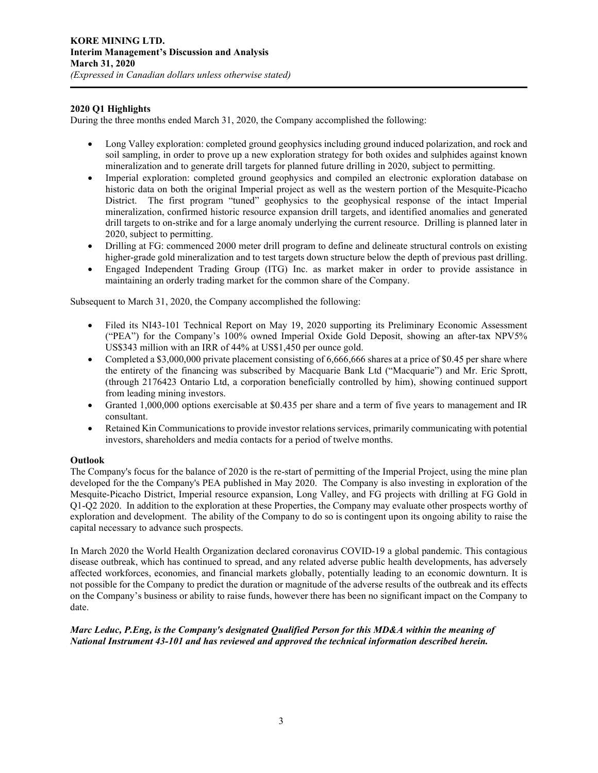# **2020 Q1 Highlights**

During the three months ended March 31, 2020, the Company accomplished the following:

- Long Valley exploration: completed ground geophysics including ground induced polarization, and rock and soil sampling, in order to prove up a new exploration strategy for both oxides and sulphides against known mineralization and to generate drill targets for planned future drilling in 2020, subject to permitting.
- Imperial exploration: completed ground geophysics and compiled an electronic exploration database on historic data on both the original Imperial project as well as the western portion of the Mesquite-Picacho District. The first program "tuned" geophysics to the geophysical response of the intact Imperial mineralization, confirmed historic resource expansion drill targets, and identified anomalies and generated drill targets to on-strike and for a large anomaly underlying the current resource. Drilling is planned later in 2020, subject to permitting.
- Drilling at FG: commenced 2000 meter drill program to define and delineate structural controls on existing higher-grade gold mineralization and to test targets down structure below the depth of previous past drilling.
- Engaged Independent Trading Group (ITG) Inc. as market maker in order to provide assistance in maintaining an orderly trading market for the common share of the Company.

Subsequent to March 31, 2020, the Company accomplished the following:

- Filed its NI43-101 Technical Report on May 19, 2020 supporting its Preliminary Economic Assessment ("PEA") for the Company's 100% owned Imperial Oxide Gold Deposit, showing an after-tax NPV5% US\$343 million with an IRR of 44% at US\$1,450 per ounce gold.
- Completed a \$3,000,000 private placement consisting of 6,666,666 shares at a price of \$0.45 per share where the entirety of the financing was subscribed by Macquarie Bank Ltd ("Macquarie") and Mr. Eric Sprott, (through 2176423 Ontario Ltd, a corporation beneficially controlled by him), showing continued support from leading mining investors.
- Granted 1,000,000 options exercisable at \$0.435 per share and a term of five years to management and IR consultant.
- Retained Kin Communications to provide investor relations services, primarily communicating with potential investors, shareholders and media contacts for a period of twelve months.

# **Outlook**

The Company's focus for the balance of 2020 is the re-start of permitting of the Imperial Project, using the mine plan developed for the the Company's PEA published in May 2020. The Company is also investing in exploration of the Mesquite-Picacho District, Imperial resource expansion, Long Valley, and FG projects with drilling at FG Gold in Q1-Q2 2020. In addition to the exploration at these Properties, the Company may evaluate other prospects worthy of exploration and development. The ability of the Company to do so is contingent upon its ongoing ability to raise the capital necessary to advance such prospects.

In March 2020 the World Health Organization declared coronavirus COVID-19 a global pandemic. This contagious disease outbreak, which has continued to spread, and any related adverse public health developments, has adversely affected workforces, economies, and financial markets globally, potentially leading to an economic downturn. It is not possible for the Company to predict the duration or magnitude of the adverse results of the outbreak and its effects on the Company's business or ability to raise funds, however there has been no significant impact on the Company to date.

# *Marc Leduc, P.Eng, is the Company's designated Qualified Person for this MD&A within the meaning of National Instrument 43-101 and has reviewed and approved the technical information described herein.*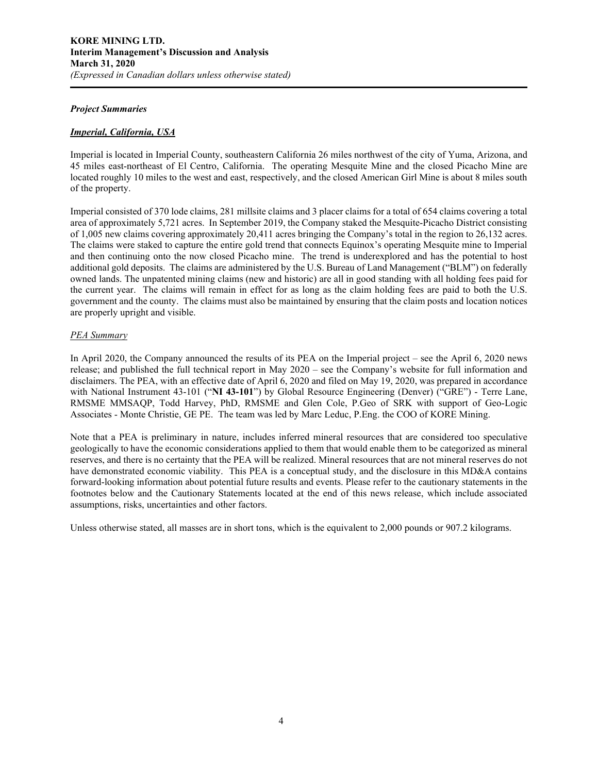#### *Project Summaries*

# *Imperial, California, USA*

Imperial is located in Imperial County, southeastern California 26 miles northwest of the city of Yuma, Arizona, and 45 miles east-northeast of El Centro, California. The operating Mesquite Mine and the closed Picacho Mine are located roughly 10 miles to the west and east, respectively, and the closed American Girl Mine is about 8 miles south of the property.

Imperial consisted of 370 lode claims, 281 millsite claims and 3 placer claims for a total of 654 claims covering a total area of approximately 5,721 acres. In September 2019, the Company staked the Mesquite-Picacho District consisting of 1,005 new claims covering approximately 20,411 acres bringing the Company's total in the region to 26,132 acres. The claims were staked to capture the entire gold trend that connects Equinox's operating Mesquite mine to Imperial and then continuing onto the now closed Picacho mine. The trend is underexplored and has the potential to host additional gold deposits. The claims are administered by the U.S. Bureau of Land Management ("BLM") on federally owned lands. The unpatented mining claims (new and historic) are all in good standing with all holding fees paid for the current year. The claims will remain in effect for as long as the claim holding fees are paid to both the U.S. government and the county. The claims must also be maintained by ensuring that the claim posts and location notices are properly upright and visible.

# *PEA Summary*

In April 2020, the Company announced the results of its PEA on the Imperial project – see the April 6, 2020 news release; and published the full technical report in May 2020 – see the Company's website for full information and disclaimers. The PEA, with an effective date of April 6, 2020 and filed on May 19, 2020, was prepared in accordance with National Instrument 43-101 ("**NI 43-101**") by Global Resource Engineering (Denver) ("GRE") - Terre Lane, RMSME MMSAQP, Todd Harvey, PhD, RMSME and Glen Cole, P.Geo of SRK with support of Geo-Logic Associates - Monte Christie, GE PE. The team was led by Marc Leduc, P.Eng. the COO of KORE Mining.

Note that a PEA is preliminary in nature, includes inferred mineral resources that are considered too speculative geologically to have the economic considerations applied to them that would enable them to be categorized as mineral reserves, and there is no certainty that the PEA will be realized. Mineral resources that are not mineral reserves do not have demonstrated economic viability. This PEA is a conceptual study, and the disclosure in this MD&A contains forward-looking information about potential future results and events. Please refer to the cautionary statements in the footnotes below and the Cautionary Statements located at the end of this news release, which include associated assumptions, risks, uncertainties and other factors.

Unless otherwise stated, all masses are in short tons, which is the equivalent to 2,000 pounds or 907.2 kilograms.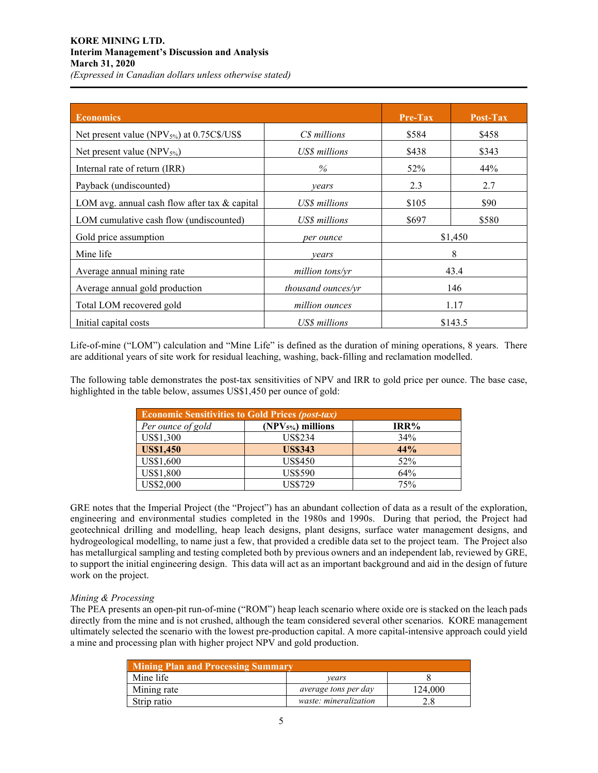# **KORE MINING LTD. Interim Management's Discussion and Analysis March 31, 2020** *(Expressed in Canadian dollars unless otherwise stated)*

| <b>Economics</b>                                       |                    | $Pre-Tax$ | Post-Tax |
|--------------------------------------------------------|--------------------|-----------|----------|
| Net present value (NPV <sub>5%</sub> ) at 0.75C\$/US\$ | C\$ millions       | \$584     | \$458    |
| Net present value $(NPV_{5\%})$                        | US\$ millions      | \$438     | \$343    |
| Internal rate of return (IRR)                          | $\%$               | 52%       | 44%      |
| Payback (undiscounted)                                 | vears              | 2.3       | 2.7      |
| LOM avg. annual cash flow after tax & capital          | US\$ millions      | \$105     | \$90     |
| LOM cumulative cash flow (undiscounted)                | US\$ millions      | \$697     | \$580    |
| Gold price assumption                                  | per ounce          |           | \$1,450  |
| Mine life                                              | vears              |           | 8        |
| Average annual mining rate                             | million tons/yr    |           | 43.4     |
| Average annual gold production                         | thousand ounces/yr |           | 146      |
| Total LOM recovered gold                               | million ounces     |           | 1.17     |
| Initial capital costs                                  | US\$ millions      |           | \$143.5  |

Life-of-mine ("LOM") calculation and "Mine Life" is defined as the duration of mining operations, 8 years. There are additional years of site work for residual leaching, washing, back-filling and reclamation modelled.

The following table demonstrates the post-tax sensitivities of NPV and IRR to gold price per ounce. The base case, highlighted in the table below, assumes US\$1,450 per ounce of gold:

| <b>Economic Sensitivities to Gold Prices (post-tax)</b> |                    |      |  |  |  |
|---------------------------------------------------------|--------------------|------|--|--|--|
| Per ounce of gold                                       | $(NPV5%)$ millions | IRR% |  |  |  |
| US\$1,300                                               | <b>US\$234</b>     | 34%  |  |  |  |
| <b>US\$1,450</b>                                        | <b>US\$343</b>     | 44%  |  |  |  |
| US\$1,600                                               | <b>US\$450</b>     | 52%  |  |  |  |
| US\$1,800                                               | <b>US\$590</b>     | 64%  |  |  |  |
| US\$2,000                                               | <b>US\$729</b>     | 75%  |  |  |  |

GRE notes that the Imperial Project (the "Project") has an abundant collection of data as a result of the exploration, engineering and environmental studies completed in the 1980s and 1990s. During that period, the Project had geotechnical drilling and modelling, heap leach designs, plant designs, surface water management designs, and hydrogeological modelling, to name just a few, that provided a credible data set to the project team. The Project also has metallurgical sampling and testing completed both by previous owners and an independent lab, reviewed by GRE, to support the initial engineering design. This data will act as an important background and aid in the design of future work on the project.

# *Mining & Processing*

The PEA presents an open-pit run-of-mine ("ROM") heap leach scenario where oxide ore is stacked on the leach pads directly from the mine and is not crushed, although the team considered several other scenarios. KORE management ultimately selected the scenario with the lowest pre-production capital. A more capital-intensive approach could yield a mine and processing plan with higher project NPV and gold production.

| <b>Mining Plan and Processing Summary</b> |                             |         |  |  |  |
|-------------------------------------------|-----------------------------|---------|--|--|--|
| Mine life                                 | vears                       |         |  |  |  |
| Mining rate                               | <i>average tons per day</i> | 124,000 |  |  |  |
| Strip ratio                               | waste: mineralization       |         |  |  |  |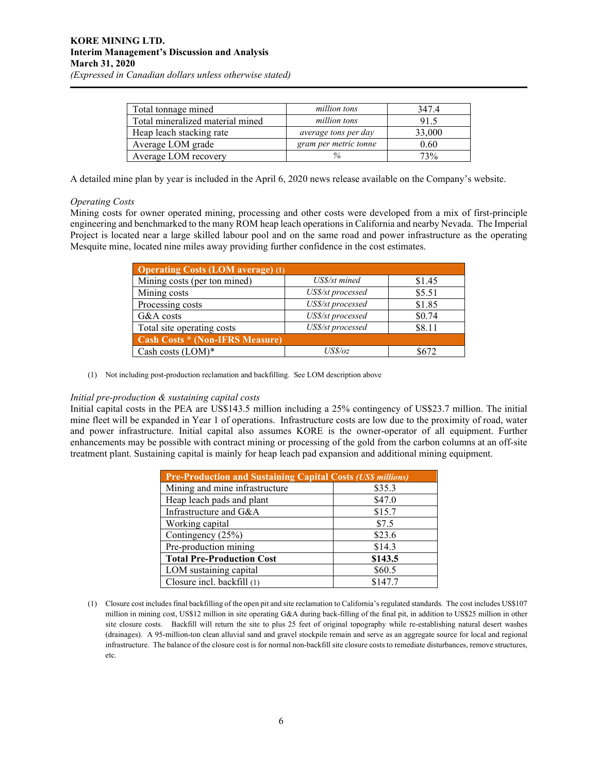| Total tonnage mined              | million tons          | 347.4  |
|----------------------------------|-----------------------|--------|
| Total mineralized material mined | million tons          | 91.5   |
| Heap leach stacking rate         | average tons per day  | 33,000 |
| Average LOM grade                | gram per metric tonne | 0.60   |
| Average LOM recovery             |                       | 73%    |

A detailed mine plan by year is included in the April 6, 2020 news release available on the Company's website.

# *Operating Costs*

Mining costs for owner operated mining, processing and other costs were developed from a mix of first-principle engineering and benchmarked to the many ROM heap leach operations in California and nearby Nevada. The Imperial Project is located near a large skilled labour pool and on the same road and power infrastructure as the operating Mesquite mine, located nine miles away providing further confidence in the cost estimates.

| <b>Operating Costs (LOM average) (1)</b> |                   |        |  |  |  |
|------------------------------------------|-------------------|--------|--|--|--|
| Mining costs (per ton mined)             | US\$/st mined     | \$1.45 |  |  |  |
| Mining costs                             | US\$/st processed | \$5.51 |  |  |  |
| Processing costs                         | US\$/st processed | \$1.85 |  |  |  |
| G&A costs                                | US\$/st processed | \$0.74 |  |  |  |
| Total site operating costs               | US\$/st processed | \$8.11 |  |  |  |
| <b>Cash Costs * (Non-IFRS Measure)</b>   |                   |        |  |  |  |
| Cash costs (LOM)*                        | USS/oz            | 8672   |  |  |  |

#### (1) Not including post-production reclamation and backfilling. See LOM description above

#### *Initial pre-production & sustaining capital costs*

Initial capital costs in the PEA are US\$143.5 million including a 25% contingency of US\$23.7 million. The initial mine fleet will be expanded in Year 1 of operations. Infrastructure costs are low due to the proximity of road, water and power infrastructure. Initial capital also assumes KORE is the owner-operator of all equipment. Further enhancements may be possible with contract mining or processing of the gold from the carbon columns at an off-site treatment plant. Sustaining capital is mainly for heap leach pad expansion and additional mining equipment.

| <b>Pre-Production and Sustaining Capital Costs (US\$ millions)</b> |         |  |  |
|--------------------------------------------------------------------|---------|--|--|
| Mining and mine infrastructure                                     | \$35.3  |  |  |
| Heap leach pads and plant                                          | \$47.0  |  |  |
| Infrastructure and G&A                                             | \$15.7  |  |  |
| Working capital                                                    | \$7.5   |  |  |
| Contingency (25%)                                                  | \$23.6  |  |  |
| Pre-production mining                                              | \$14.3  |  |  |
| <b>Total Pre-Production Cost</b>                                   | \$143.5 |  |  |
| LOM sustaining capital                                             | \$60.5  |  |  |
| Closure incl. backfill (1)                                         | \$147.7 |  |  |

(1) Closure cost includes final backfilling of the open pit and site reclamation to California's regulated standards. The cost includes US\$107 million in mining cost, US\$12 million in site operating G&A during back-filling of the final pit, in addition to US\$25 million in other site closure costs. Backfill will return the site to plus 25 feet of original topography while re-establishing natural desert washes (drainages). A 95-million-ton clean alluvial sand and gravel stockpile remain and serve as an aggregate source for local and regional infrastructure. The balance of the closure cost is for normal non-backfill site closure costs to remediate disturbances, remove structures, etc.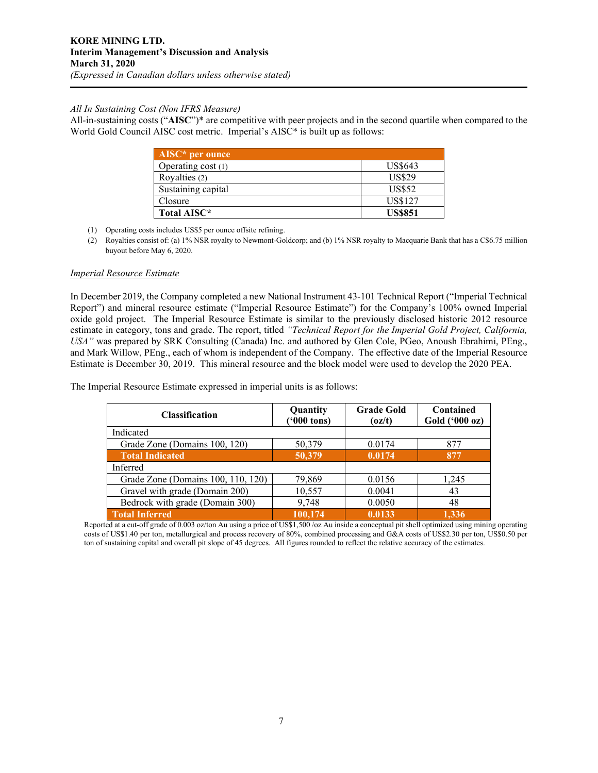# *All In Sustaining Cost (Non IFRS Measure)*

All-in-sustaining costs ("**AISC**")\* are competitive with peer projects and in the second quartile when compared to the World Gold Council AISC cost metric. Imperial's AISC<sup>\*</sup> is built up as follows:

| $AISC*$ per ounce  |                |
|--------------------|----------------|
| Operating cost (1) | US\$643        |
| Royalties (2)      | <b>US\$29</b>  |
| Sustaining capital | <b>US\$52</b>  |
| Closure            | US\$127        |
| Total AISC*        | <b>US\$851</b> |

- (1) Operating costs includes US\$5 per ounce offsite refining.
- (2) Royalties consist of: (a) 1% NSR royalty to Newmont-Goldcorp; and (b) 1% NSR royalty to Macquarie Bank that has a C\$6.75 million buyout before May 6, 2020.

# *Imperial Resource Estimate*

In December 2019, the Company completed a new National Instrument 43-101 Technical Report ("Imperial Technical Report") and mineral resource estimate ("Imperial Resource Estimate") for the Company's 100% owned Imperial oxide gold project. The Imperial Resource Estimate is similar to the previously disclosed historic 2012 resource estimate in category, tons and grade. The report, titled *"Technical Report for the Imperial Gold Project, California, USA"* was prepared by SRK Consulting (Canada) Inc. and authored by Glen Cole, PGeo, Anoush Ebrahimi, PEng., and Mark Willow, PEng., each of whom is independent of the Company. The effective date of the Imperial Resource Estimate is December 30, 2019. This mineral resource and the block model were used to develop the 2020 PEA.

| <b>Classification</b>              | Quantity<br>$(900 \text{ tons})$ | <b>Grade Gold</b><br>(oz/t) | Contained<br>Gold ('000 oz) |
|------------------------------------|----------------------------------|-----------------------------|-----------------------------|
| Indicated                          |                                  |                             |                             |
| Grade Zone (Domains 100, 120)      | 50,379                           | 0.0174                      | 877                         |
| <b>Total Indicated</b>             | 50,379                           | 0.0174                      | 877                         |
| Inferred                           |                                  |                             |                             |
| Grade Zone (Domains 100, 110, 120) | 79,869                           | 0.0156                      | 1,245                       |
| Gravel with grade (Domain 200)     | 10,557                           | 0.0041                      | 43                          |
| Bedrock with grade (Domain 300)    | 9,748                            | 0.0050                      | 48                          |
| <b>Total Inferred</b>              | 100,174                          | 0.0133                      | 1.336                       |

The Imperial Resource Estimate expressed in imperial units is as follows:

Reported at a cut-off grade of 0.003 oz/ton Au using a price of US\$1,500 /oz Au inside a conceptual pit shell optimized using mining operating costs of US\$1.40 per ton, metallurgical and process recovery of 80%, combined processing and G&A costs of US\$2.30 per ton, US\$0.50 per ton of sustaining capital and overall pit slope of 45 degrees. All figures rounded to reflect the relative accuracy of the estimates.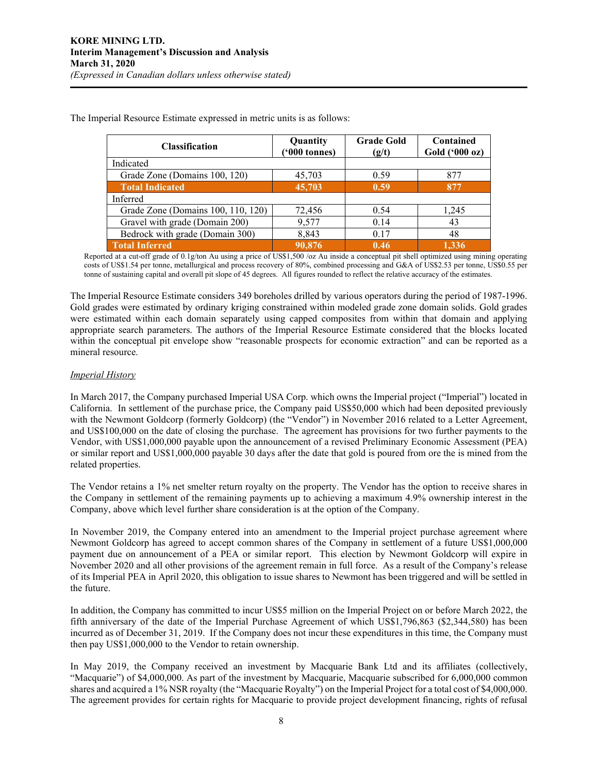| <b>Classification</b>              | Quantity<br>$(900 \text{ tonnes})$ | <b>Grade Gold</b><br>(g/t) | Contained<br>Gold ('000 oz) |
|------------------------------------|------------------------------------|----------------------------|-----------------------------|
| Indicated                          |                                    |                            |                             |
| Grade Zone (Domains 100, 120)      | 45,703                             | 0.59                       | 877                         |
| <b>Total Indicated</b>             | 45,703                             | 0.59                       | 877                         |
| Inferred                           |                                    |                            |                             |
| Grade Zone (Domains 100, 110, 120) | 72,456                             | 0.54                       | 1,245                       |
| Gravel with grade (Domain 200)     | 9,577                              | 0.14                       | 43                          |
| Bedrock with grade (Domain 300)    | 8,843                              | 0.17                       | 48                          |
| <b>Total Inferred</b>              | 90,876                             | 0.46                       | 1.336                       |

The Imperial Resource Estimate expressed in metric units is as follows:

Reported at a cut-off grade of 0.1g/ton Au using a price of US\$1,500 /oz Au inside a conceptual pit shell optimized using mining operating costs of US\$1.54 per tonne, metallurgical and process recovery of 80%, combined processing and G&A of US\$2.53 per tonne, US\$0.55 per tonne of sustaining capital and overall pit slope of 45 degrees. All figures rounded to reflect the relative accuracy of the estimates.

The Imperial Resource Estimate considers 349 boreholes drilled by various operators during the period of 1987-1996. Gold grades were estimated by ordinary kriging constrained within modeled grade zone domain solids. Gold grades were estimated within each domain separately using capped composites from within that domain and applying appropriate search parameters. The authors of the Imperial Resource Estimate considered that the blocks located within the conceptual pit envelope show "reasonable prospects for economic extraction" and can be reported as a mineral resource.

#### *Imperial History*

In March 2017, the Company purchased Imperial USA Corp. which owns the Imperial project ("Imperial") located in California. In settlement of the purchase price, the Company paid US\$50,000 which had been deposited previously with the Newmont Goldcorp (formerly Goldcorp) (the "Vendor") in November 2016 related to a Letter Agreement, and US\$100,000 on the date of closing the purchase. The agreement has provisions for two further payments to the Vendor, with US\$1,000,000 payable upon the announcement of a revised Preliminary Economic Assessment (PEA) or similar report and US\$1,000,000 payable 30 days after the date that gold is poured from ore the is mined from the related properties.

The Vendor retains a 1% net smelter return royalty on the property. The Vendor has the option to receive shares in the Company in settlement of the remaining payments up to achieving a maximum 4.9% ownership interest in the Company, above which level further share consideration is at the option of the Company.

In November 2019, the Company entered into an amendment to the Imperial project purchase agreement where Newmont Goldcorp has agreed to accept common shares of the Company in settlement of a future US\$1,000,000 payment due on announcement of a PEA or similar report. This election by Newmont Goldcorp will expire in November 2020 and all other provisions of the agreement remain in full force. As a result of the Company's release of its Imperial PEA in April 2020, this obligation to issue shares to Newmont has been triggered and will be settled in the future.

In addition, the Company has committed to incur US\$5 million on the Imperial Project on or before March 2022, the fifth anniversary of the date of the Imperial Purchase Agreement of which US\$1,796,863 (\$2,344,580) has been incurred as of December 31, 2019. If the Company does not incur these expenditures in this time, the Company must then pay US\$1,000,000 to the Vendor to retain ownership.

In May 2019, the Company received an investment by Macquarie Bank Ltd and its affiliates (collectively, "Macquarie") of \$4,000,000. As part of the investment by Macquarie, Macquarie subscribed for 6,000,000 common shares and acquired a 1% NSR royalty (the "Macquarie Royalty") on the Imperial Project for a total cost of \$4,000,000. The agreement provides for certain rights for Macquarie to provide project development financing, rights of refusal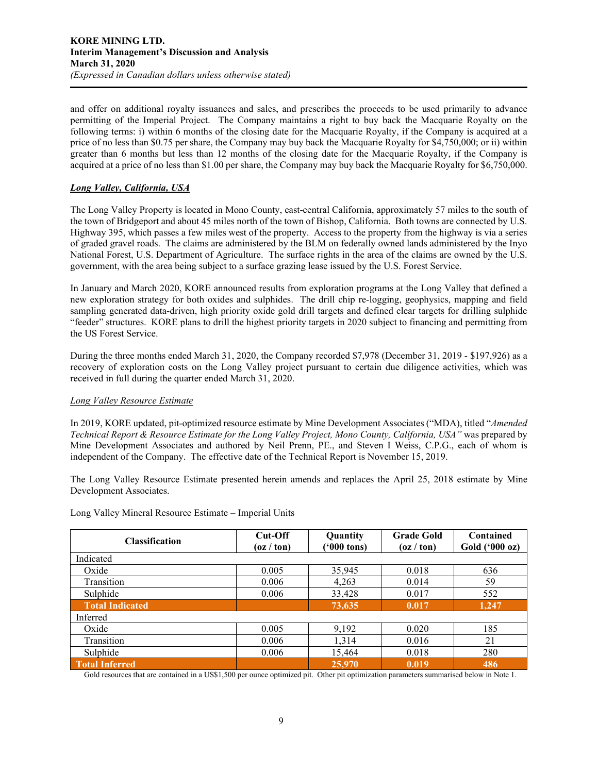and offer on additional royalty issuances and sales, and prescribes the proceeds to be used primarily to advance permitting of the Imperial Project. The Company maintains a right to buy back the Macquarie Royalty on the following terms: i) within 6 months of the closing date for the Macquarie Royalty, if the Company is acquired at a price of no less than \$0.75 per share, the Company may buy back the Macquarie Royalty for \$4,750,000; or ii) within greater than 6 months but less than 12 months of the closing date for the Macquarie Royalty, if the Company is acquired at a price of no less than \$1.00 per share, the Company may buy back the Macquarie Royalty for \$6,750,000.

# *Long Valley, California, USA*

The Long Valley Property is located in Mono County, east-central California, approximately 57 miles to the south of the town of Bridgeport and about 45 miles north of the town of Bishop, California. Both towns are connected by U.S. Highway 395, which passes a few miles west of the property. Access to the property from the highway is via a series of graded gravel roads. The claims are administered by the BLM on federally owned lands administered by the Inyo National Forest, U.S. Department of Agriculture. The surface rights in the area of the claims are owned by the U.S. government, with the area being subject to a surface grazing lease issued by the U.S. Forest Service.

In January and March 2020, KORE announced results from exploration programs at the Long Valley that defined a new exploration strategy for both oxides and sulphides. The drill chip re-logging, geophysics, mapping and field sampling generated data-driven, high priority oxide gold drill targets and defined clear targets for drilling sulphide "feeder" structures. KORE plans to drill the highest priority targets in 2020 subject to financing and permitting from the US Forest Service.

During the three months ended March 31, 2020, the Company recorded \$7,978 (December 31, 2019 - \$197,926) as a recovery of exploration costs on the Long Valley project pursuant to certain due diligence activities, which was received in full during the quarter ended March 31, 2020.

# *Long Valley Resource Estimate*

In 2019, KORE updated, pit-optimized resource estimate by Mine Development Associates ("MDA), titled "*Amended Technical Report & Resource Estimate for the Long Valley Project, Mono County, California, USA"* was prepared by Mine Development Associates and authored by Neil Prenn, PE., and Steven I Weiss, C.P.G., each of whom is independent of the Company. The effective date of the Technical Report is November 15, 2019.

The Long Valley Resource Estimate presented herein amends and replaces the April 25, 2018 estimate by Mine Development Associates.

| <b>Classification</b>  | Cut-Off<br>(oz / ton) | Quantity<br>$(900 \text{ tons})$ | <b>Grade Gold</b><br>(oz / ton) | Contained<br>Gold ('000 oz) |
|------------------------|-----------------------|----------------------------------|---------------------------------|-----------------------------|
| Indicated              |                       |                                  |                                 |                             |
| Oxide                  | 0.005                 | 35,945                           | 0.018                           | 636                         |
| Transition             | 0.006                 | 4,263                            | 0.014                           | 59                          |
| Sulphide               | 0.006                 | 33,428                           | 0.017                           | 552                         |
| <b>Total Indicated</b> |                       | 73,635                           | 0.017                           | 1,247                       |
| Inferred               |                       |                                  |                                 |                             |
| Oxide                  | 0.005                 | 9,192                            | 0.020                           | 185                         |
| Transition             | 0.006                 | 1,314                            | 0.016                           | 21                          |
| Sulphide               | 0.006                 | 15,464                           | 0.018                           | 280                         |
| <b>Total Inferred</b>  |                       | 25,970                           | 0.019                           | 486                         |

Long Valley Mineral Resource Estimate – Imperial Units

Gold resources that are contained in a US\$1,500 per ounce optimized pit. Other pit optimization parameters summarised below in Note 1.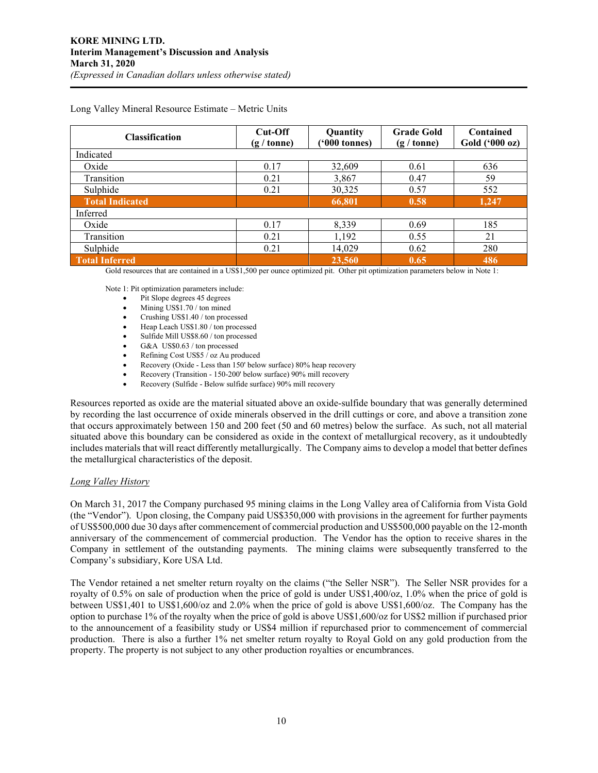| <b>Classification</b>  | $Cut$ -Off<br>$(g / \text{tonne})$ | Quantity<br>$(900 \text{ tonnes})$ | <b>Grade Gold</b><br>$(g / \text{tonne})$ | Contained<br>Gold ('000 oz) |
|------------------------|------------------------------------|------------------------------------|-------------------------------------------|-----------------------------|
| Indicated              |                                    |                                    |                                           |                             |
| Oxide                  | 0.17                               | 32,609                             | 0.61                                      | 636                         |
| Transition             | 0.21                               | 3,867                              | 0.47                                      | 59                          |
| Sulphide               | 0.21                               | 30,325                             | 0.57                                      | 552                         |
| <b>Total Indicated</b> |                                    | 66,801                             | 0.58                                      | 1,247                       |
| Inferred               |                                    |                                    |                                           |                             |
| Oxide                  | 0.17                               | 8,339                              | 0.69                                      | 185                         |
| Transition             | 0.21                               | 1,192                              | 0.55                                      | 21                          |
| Sulphide               | 0.21                               | 14,029                             | 0.62                                      | 280                         |
| <b>Total Inferred</b>  |                                    | 23,560                             | 0.65                                      | 486                         |

Long Valley Mineral Resource Estimate – Metric Units

Gold resources that are contained in a US\$1,500 per ounce optimized pit. Other pit optimization parameters below in Note 1:

Note 1: Pit optimization parameters include:

- Pit Slope degrees 45 degrees
- Mining US\$1.70 / ton mined
- Crushing US\$1.40 / ton processed
- Heap Leach US\$1.80 / ton processed
- Sulfide Mill US\$8.60 / ton processed
- G&A US\$0.63 / ton processed
- Refining Cost US\$5 / oz Au produced
- Recovery (Oxide Less than 150' below surface) 80% heap recovery
- Recovery (Transition 150-200' below surface) 90% mill recovery
- Recovery (Sulfide Below sulfide surface) 90% mill recovery

Resources reported as oxide are the material situated above an oxide-sulfide boundary that was generally determined by recording the last occurrence of oxide minerals observed in the drill cuttings or core, and above a transition zone that occurs approximately between 150 and 200 feet (50 and 60 metres) below the surface. As such, not all material situated above this boundary can be considered as oxide in the context of metallurgical recovery, as it undoubtedly includes materials that will react differently metallurgically. The Company aims to develop a model that better defines the metallurgical characteristics of the deposit.

#### *Long Valley History*

On March 31, 2017 the Company purchased 95 mining claims in the Long Valley area of California from Vista Gold (the "Vendor"). Upon closing, the Company paid US\$350,000 with provisions in the agreement for further payments of US\$500,000 due 30 days after commencement of commercial production and US\$500,000 payable on the 12-month anniversary of the commencement of commercial production. The Vendor has the option to receive shares in the Company in settlement of the outstanding payments. The mining claims were subsequently transferred to the Company's subsidiary, Kore USA Ltd.

The Vendor retained a net smelter return royalty on the claims ("the Seller NSR"). The Seller NSR provides for a royalty of 0.5% on sale of production when the price of gold is under US\$1,400/oz, 1.0% when the price of gold is between US\$1,401 to US\$1,600/oz and 2.0% when the price of gold is above US\$1,600/oz. The Company has the option to purchase 1% of the royalty when the price of gold is above US\$1,600/oz for US\$2 million if purchased prior to the announcement of a feasibility study or US\$4 million if repurchased prior to commencement of commercial production. There is also a further 1% net smelter return royalty to Royal Gold on any gold production from the property. The property is not subject to any other production royalties or encumbrances.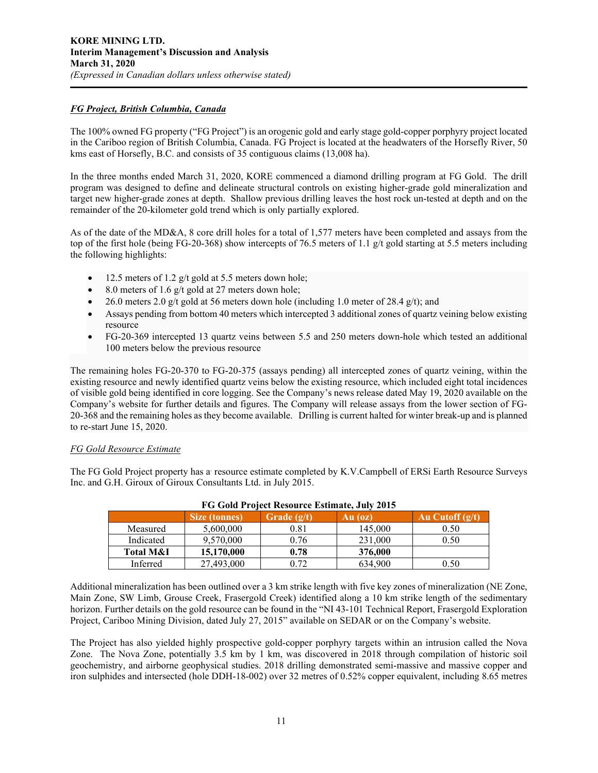# *FG Project, British Columbia, Canada*

The 100% owned FG property ("FG Project") is an orogenic gold and early stage gold-copper porphyry project located in the Cariboo region of British Columbia, Canada. FG Project is located at the headwaters of the Horsefly River, 50 kms east of Horsefly, B.C. and consists of 35 contiguous claims (13,008 ha).

In the three months ended March 31, 2020, KORE commenced a diamond drilling program at FG Gold. The drill program was designed to define and delineate structural controls on existing higher-grade gold mineralization and target new higher-grade zones at depth. Shallow previous drilling leaves the host rock un-tested at depth and on the remainder of the 20-kilometer gold trend which is only partially explored.

As of the date of the MD&A, 8 core drill holes for a total of 1,577 meters have been completed and assays from the top of the first hole (being FG-20-368) show intercepts of 76.5 meters of 1.1 g/t gold starting at 5.5 meters including the following highlights:

- 12.5 meters of 1.2 g/t gold at 5.5 meters down hole;
- 8.0 meters of 1.6 g/t gold at 27 meters down hole;
- 26.0 meters 2.0 g/t gold at 56 meters down hole (including 1.0 meter of 28.4 g/t); and
- Assays pending from bottom 40 meters which intercepted 3 additional zones of quartz veining below existing resource
- FG-20-369 intercepted 13 quartz veins between 5.5 and 250 meters down-hole which tested an additional 100 meters below the previous resource

The remaining holes FG-20-370 to FG-20-375 (assays pending) all intercepted zones of quartz veining, within the existing resource and newly identified quartz veins below the existing resource, which included eight total incidences of visible gold being identified in core logging. See the Company's news release dated May 19, 2020 available on the Company's website for further details and figures. The Company will release assays from the lower section of FG-20-368 and the remaining holes as they become available. Drilling is current halted for winter break-up and is planned to re-start June 15, 2020.

#### *FG Gold Resource Estimate*

The FG Gold Project property has a resource estimate completed by K.V.Campbell of ERSi Earth Resource Surveys Inc. and G.H. Giroux of Giroux Consultants Ltd. in July 2015.

| FG G010 Froject Resource Estimate, July 2015 |                      |               |         |                   |  |  |
|----------------------------------------------|----------------------|---------------|---------|-------------------|--|--|
|                                              | <b>Size (tonnes)</b> | Grade $(g/t)$ | Au (oz) | Au Cutoff $(g/t)$ |  |  |
| Measured                                     | 5,600,000            | 0.81          | 145,000 | 0.50              |  |  |
| Indicated                                    | 9,570,000            | 0.76          | 231,000 | 0.50              |  |  |
| Total M&I                                    | 15,170,000           | 0.78          | 376,000 |                   |  |  |
| Inferred                                     | 27,493,000           | 0.72          | 634,900 | 0.50              |  |  |

# **FG Gold Project Resource Estimate, July 2015**

Additional mineralization has been outlined over a 3 km strike length with five key zones of mineralization (NE Zone, Main Zone, SW Limb, Grouse Creek, Frasergold Creek) identified along a 10 km strike length of the sedimentary horizon. Further details on the gold resource can be found in the "NI 43-101 Technical Report, Frasergold Exploration Project, Cariboo Mining Division, dated July 27, 2015" available on SEDAR or on the Company's website.

The Project has also yielded highly prospective gold-copper porphyry targets within an intrusion called the Nova Zone. The Nova Zone, potentially 3.5 km by 1 km, was discovered in 2018 through compilation of historic soil geochemistry, and airborne geophysical studies. 2018 drilling demonstrated semi-massive and massive copper and iron sulphides and intersected (hole DDH-18-002) over 32 metres of 0.52% copper equivalent, including 8.65 metres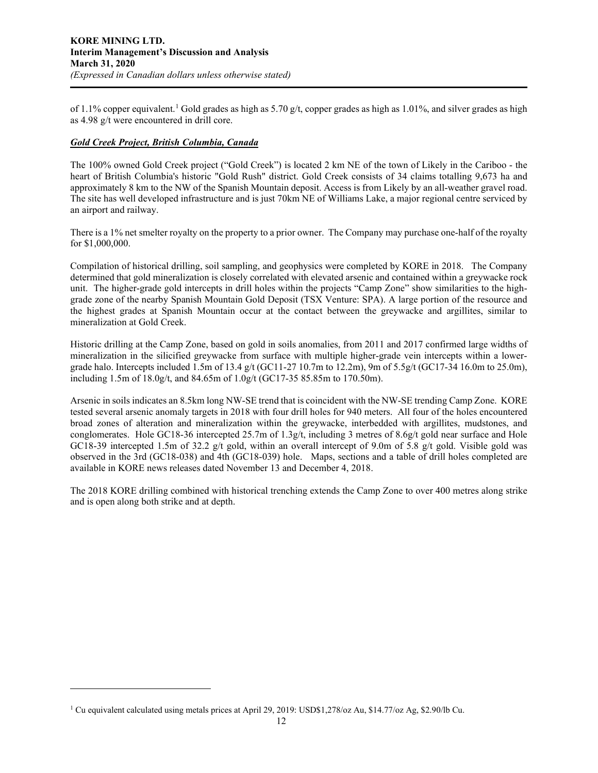of [1](#page-11-0).1% copper equivalent.<sup>1</sup> Gold grades as high as 5.70 g/t, copper grades as high as 1.01%, and silver grades as high as 4.98 g/t were encountered in drill core.

# *Gold Creek Project, British Columbia, Canada*

The 100% owned Gold Creek project ("Gold Creek") is located 2 km NE of the town of Likely in the Cariboo - the heart of British Columbia's historic "Gold Rush" district. Gold Creek consists of 34 claims totalling 9,673 ha and approximately 8 km to the NW of the Spanish Mountain deposit. Access is from Likely by an all-weather gravel road. The site has well developed infrastructure and is just 70km NE of Williams Lake, a major regional centre serviced by an airport and railway.

There is a 1% net smelter royalty on the property to a prior owner. The Company may purchase one-half of the royalty for \$1,000,000.

Compilation of historical drilling, soil sampling, and geophysics were completed by KORE in 2018. The Company determined that gold mineralization is closely correlated with elevated arsenic and contained within a greywacke rock unit. The higher-grade gold intercepts in drill holes within the projects "Camp Zone" show similarities to the highgrade zone of the nearby Spanish Mountain Gold Deposit (TSX Venture: SPA). A large portion of the resource and the highest grades at Spanish Mountain occur at the contact between the greywacke and argillites, similar to mineralization at Gold Creek.

Historic drilling at the Camp Zone, based on gold in soils anomalies, from 2011 and 2017 confirmed large widths of mineralization in the silicified greywacke from surface with multiple higher-grade vein intercepts within a lowergrade halo. Intercepts included 1.5m of 13.4 g/t (GC11-27 10.7m to 12.2m), 9m of 5.5g/t (GC17-34 16.0m to 25.0m), including 1.5m of 18.0g/t, and 84.65m of 1.0g/t (GC17-35 85.85m to 170.50m).

Arsenic in soils indicates an 8.5km long NW-SE trend that is coincident with the NW-SE trending Camp Zone. KORE tested several arsenic anomaly targets in 2018 with four drill holes for 940 meters. All four of the holes encountered broad zones of alteration and mineralization within the greywacke, interbedded with argillites, mudstones, and conglomerates. Hole GC18-36 intercepted 25.7m of 1.3g/t, including 3 metres of 8.6g/t gold near surface and Hole GC18-39 intercepted 1.5m of 32.2 g/t gold, within an overall intercept of 9.0m of 5.8 g/t gold. Visible gold was observed in the 3rd (GC18-038) and 4th (GC18-039) hole. Maps, sections and a table of drill holes completed are available in KORE news releases dated November 13 and December 4, 2018.

The 2018 KORE drilling combined with historical trenching extends the Camp Zone to over 400 metres along strike and is open along both strike and at depth.

<span id="page-11-0"></span><sup>1</sup> Cu equivalent calculated using metals prices at April 29, 2019: USD\$1,278/oz Au, \$14.77/oz Ag, \$2.90/lb Cu.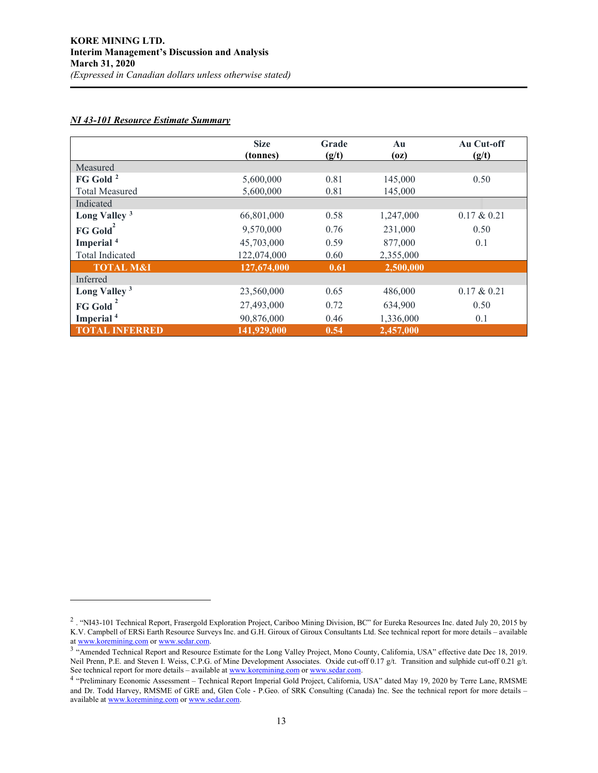# *NI 43-101 Resource Estimate Summary*

|                          | <b>Size</b><br>(tonnes) | Grade<br>(g/t) | Au<br>(oz) | Au Cut-off<br>(g/t) |
|--------------------------|-------------------------|----------------|------------|---------------------|
| Measured                 |                         |                |            |                     |
| FG Gold <sup>2</sup>     | 5,600,000               | 0.81           | 145,000    | 0.50                |
| <b>Total Measured</b>    | 5,600,000               | 0.81           | 145,000    |                     |
| Indicated                |                         |                |            |                     |
| Long Valley <sup>3</sup> | 66,801,000              | 0.58           | 1,247,000  | $0.17 \& 0.21$      |
| FG Gold <sup>2</sup>     | 9,570,000               | 0.76           | 231,000    | 0.50                |
| Imperial <sup>4</sup>    | 45,703,000              | 0.59           | 877,000    | 0.1                 |
| <b>Total Indicated</b>   | 122,074,000             | 0.60           | 2,355,000  |                     |
| <b>TOTAL M&amp;I</b>     | 127,674,000             | 0.61           | 2,500,000  |                     |
| Inferred                 |                         |                |            |                     |
| Long Valley <sup>3</sup> | 23,560,000              | 0.65           | 486,000    | $0.17 \& 0.21$      |
| <b>FG Gold</b>           | 27,493,000              | 0.72           | 634,900    | 0.50                |
| Imperial <sup>4</sup>    | 90,876,000              | 0.46           | 1,336,000  | 0.1                 |
| <b>TOTAL INFERRED</b>    | 141,929,000             | 0.54           | 2,457,000  |                     |

<span id="page-12-0"></span><sup>&</sup>lt;sup>2</sup> . "NI43-101 Technical Report, Frasergold Exploration Project, Cariboo Mining Division, BC" for Eureka Resources Inc. dated July 20, 2015 by K.V. Campbell of ERSi Earth Resource Surveys Inc. and G.H. Giroux of Giroux Consultants Ltd. See technical report for more details – available at www.koremining.com or www.sedar.com.

<span id="page-12-1"></span><sup>&</sup>lt;sup>3</sup> "Amended Technical Rep[o](http://www.koremining.com/)rt and Resource Estimate for the Long Valley Project, Mono County, California, USA" effective date Dec 18, 2019. Neil Prenn, P.E. and Steven I. Weiss, C.P.G. of Mine Development Associates. Oxide cut-off 0.17 g/t. Transition and sulphide cut-off 0.21 g/t. See technical report for more details – available at [www.koremining.com](http://www.koremining.com/) o[r www.sedar.com.](http://www.sedar.com/)

<span id="page-12-2"></span><sup>4</sup> "Preliminary Economic Assessment – Technical Report Imperial Gold Project, California, USA" dated May 19, 2020 by Terre Lane, RMSME and Dr. Todd Harvey, RMSME of GRE and, Glen Cole - P.Geo. of SRK Consulting (Canada) Inc. See the technical report for more details – available a[t www.koremining.com](http://www.koremining.com/) o[r www.sedar.com.](http://www.sedar.com/)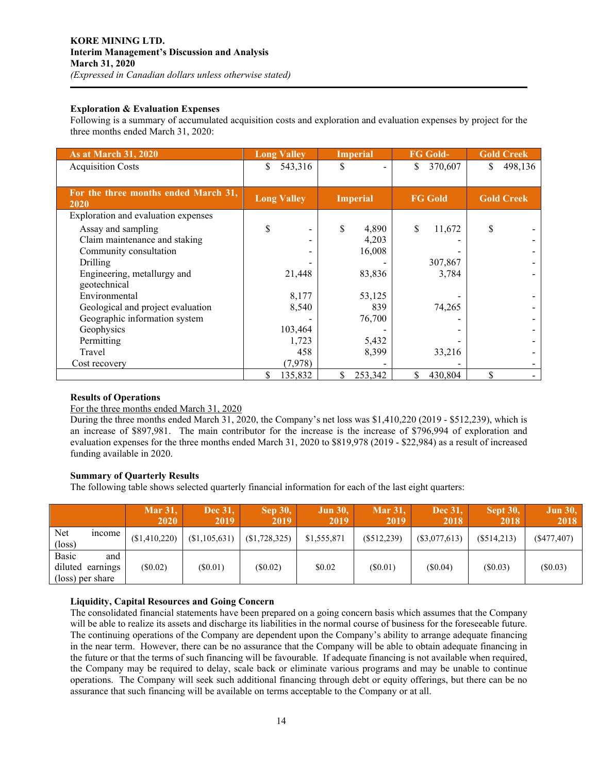# **Exploration & Evaluation Expenses**

Following is a summary of accumulated acquisition costs and exploration and evaluation expenses by project for the three months ended March 31, 2020:

| As at March 31, 2020                         | <b>Long Valley</b> | <b>Imperial</b> | <b>FG Gold-</b> | <b>Gold Creek</b> |  |
|----------------------------------------------|--------------------|-----------------|-----------------|-------------------|--|
| <b>Acquisition Costs</b>                     | 543,316<br>S       | S               | 370,607<br>\$   | 498,136<br>S.     |  |
|                                              |                    |                 |                 |                   |  |
| For the three months ended March 31,<br>2020 | <b>Long Valley</b> | <b>Imperial</b> | <b>FG Gold</b>  | <b>Gold Creek</b> |  |
| Exploration and evaluation expenses          |                    |                 |                 |                   |  |
| Assay and sampling                           | \$                 | \$<br>4,890     | \$<br>11,672    | S                 |  |
| Claim maintenance and staking                |                    | 4,203           |                 |                   |  |
| Community consultation                       |                    | 16,008          |                 |                   |  |
| Drilling                                     |                    |                 | 307,867         |                   |  |
| Engineering, metallurgy and                  | 21,448             | 83,836          | 3,784           |                   |  |
| geotechnical                                 |                    |                 |                 |                   |  |
| Environmental                                | 8,177              | 53,125          |                 |                   |  |
| Geological and project evaluation            | 8,540              | 839             | 74,265          |                   |  |
| Geographic information system                |                    | 76,700          |                 |                   |  |
| Geophysics                                   | 103,464            |                 |                 |                   |  |
| Permitting                                   | 1,723              | 5,432           |                 |                   |  |
| Travel                                       | 458                | 8,399           | 33,216          |                   |  |
| Cost recovery                                | (7, 978)           |                 |                 |                   |  |
|                                              | \$<br>135,832      | \$<br>253,342   | \$<br>430,804   | \$                |  |

# **Results of Operations**

#### For the three months ended March 31, 2020

During the three months ended March 31, 2020, the Company's net loss was \$1,410,220 (2019 - \$512,239), which is an increase of \$897,981. The main contributor for the increase is the increase of \$796,994 of exploration and evaluation expenses for the three months ended March 31, 2020 to \$819,978 (2019 - \$22,984) as a result of increased funding available in 2020.

# **Summary of Quarterly Results**

The following table shows selected quarterly financial information for each of the last eight quarters:

|                        |                                             | <b>Mar 31,</b><br><b>2020</b> | Dec 31.<br><b>2019</b> | <b>Sep 30,</b><br><b>2019</b> | <b>Jun 30,</b><br>2019 | <b>Mar 31,</b><br>2019 | Dec 31,<br>2018 | <b>Sept 30,</b><br>2018 | <b>Jun 30,</b><br>2018 |
|------------------------|---------------------------------------------|-------------------------------|------------------------|-------------------------------|------------------------|------------------------|-----------------|-------------------------|------------------------|
| Net<br>$(\text{loss})$ | <i>n</i> come                               | (\$1,410,220)                 | (S1, 105, 631)         | (\$1,728,325)                 | \$1,555,871            | $(\$512,239)$          | $(\$3,077,613)$ | (\$514,213)             | (S477, 407)            |
| <b>Basic</b>           | and<br>diluted earnings<br>(loss) per share | $(\$0.02)$                    | (S0.01)                | (S0.02)                       | \$0.02                 | (S0.01)                | (S0.04)         | (S0.03)                 | $(\$0.03)$             |

# **Liquidity, Capital Resources and Going Concern**

The consolidated financial statements have been prepared on a going concern basis which assumes that the Company will be able to realize its assets and discharge its liabilities in the normal course of business for the foreseeable future. The continuing operations of the Company are dependent upon the Company's ability to arrange adequate financing in the near term. However, there can be no assurance that the Company will be able to obtain adequate financing in the future or that the terms of such financing will be favourable. If adequate financing is not available when required, the Company may be required to delay, scale back or eliminate various programs and may be unable to continue operations. The Company will seek such additional financing through debt or equity offerings, but there can be no assurance that such financing will be available on terms acceptable to the Company or at all.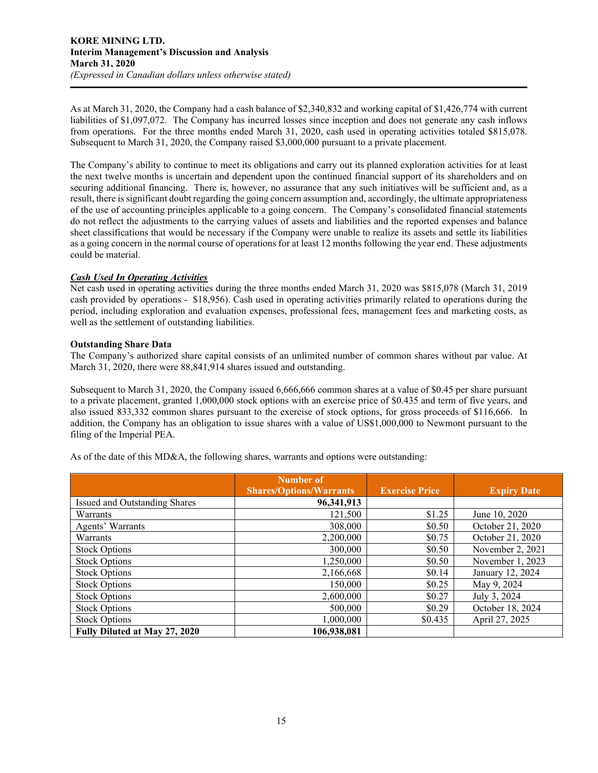As at March 31, 2020, the Company had a cash balance of \$2,340,832 and working capital of \$1,426,774 with current liabilities of \$1,097,072. The Company has incurred losses since inception and does not generate any cash inflows from operations. For the three months ended March 31, 2020, cash used in operating activities totaled \$815,078. Subsequent to March 31, 2020, the Company raised \$3,000,000 pursuant to a private placement.

The Company's ability to continue to meet its obligations and carry out its planned exploration activities for at least the next twelve months is uncertain and dependent upon the continued financial support of its shareholders and on securing additional financing. There is, however, no assurance that any such initiatives will be sufficient and, as a result, there is significant doubt regarding the going concern assumption and, accordingly, the ultimate appropriateness of the use of accounting principles applicable to a going concern. The Company's consolidated financial statements do not reflect the adjustments to the carrying values of assets and liabilities and the reported expenses and balance sheet classifications that would be necessary if the Company were unable to realize its assets and settle its liabilities as a going concern in the normal course of operations for at least 12 months following the year end. These adjustments could be material.

# *Cash Used In Operating Activities*

Net cash used in operating activities during the three months ended March 31, 2020 was \$815,078 (March 31, 2019 cash provided by operations - \$18,956). Cash used in operating activities primarily related to operations during the period, including exploration and evaluation expenses, professional fees, management fees and marketing costs, as well as the settlement of outstanding liabilities.

# **Outstanding Share Data**

The Company's authorized share capital consists of an unlimited number of common shares without par value. At March 31, 2020, there were 88,841,914 shares issued and outstanding.

Subsequent to March 31, 2020, the Company issued 6,666,666 common shares at a value of \$0.45 per share pursuant to a private placement, granted 1,000,000 stock options with an exercise price of \$0.435 and term of five years, and also issued 833,332 common shares pursuant to the exercise of stock options, for gross proceeds of \$116,666. In addition, the Company has an obligation to issue shares with a value of US\$1,000,000 to Newmont pursuant to the filing of the Imperial PEA.

As of the date of this MD&A, the following shares, warrants and options were outstanding:

|                               | <b>Number of</b>               |                       |                    |
|-------------------------------|--------------------------------|-----------------------|--------------------|
|                               | <b>Shares/Options/Warrants</b> | <b>Exercise Price</b> | <b>Expiry Date</b> |
| Issued and Outstanding Shares | 96,341,913                     |                       |                    |
| Warrants                      | 121,500                        | \$1.25                | June 10, 2020      |
| Agents' Warrants              | 308,000                        | \$0.50                | October 21, 2020   |
| Warrants                      | 2,200,000                      | \$0.75                | October 21, 2020   |
| <b>Stock Options</b>          | 300,000                        | \$0.50                | November 2, 2021   |
| <b>Stock Options</b>          | 1,250,000                      | \$0.50                | November 1, 2023   |
| <b>Stock Options</b>          | 2,166,668                      | \$0.14                | January 12, 2024   |
| <b>Stock Options</b>          | 150,000                        | \$0.25                | May 9, 2024        |
| <b>Stock Options</b>          | 2,600,000                      | \$0.27                | July 3, 2024       |
| <b>Stock Options</b>          | 500,000                        | \$0.29                | October 18, 2024   |
| <b>Stock Options</b>          | 1.000.000                      | \$0.435               | April 27, 2025     |
| Fully Diluted at May 27, 2020 | 106,938,081                    |                       |                    |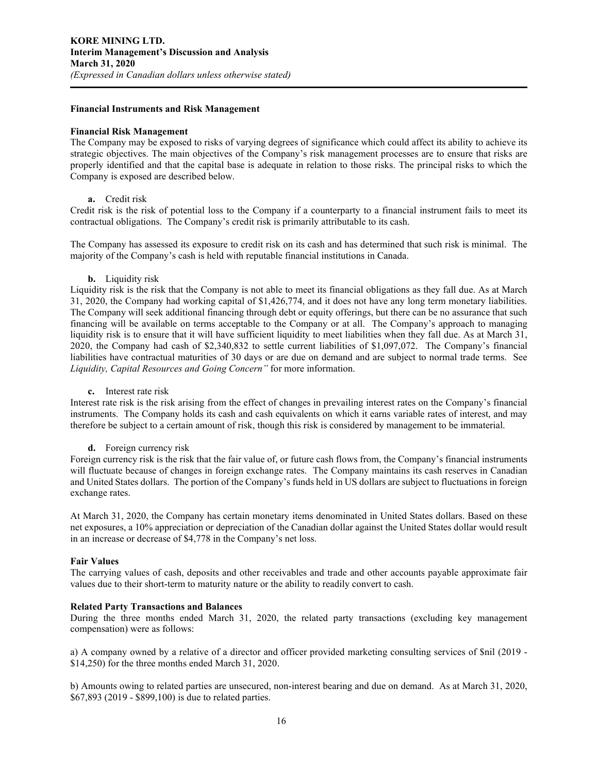#### **Financial Instruments and Risk Management**

#### **Financial Risk Management**

The Company may be exposed to risks of varying degrees of significance which could affect its ability to achieve its strategic objectives. The main objectives of the Company's risk management processes are to ensure that risks are properly identified and that the capital base is adequate in relation to those risks. The principal risks to which the Company is exposed are described below.

#### **a.** Credit risk

Credit risk is the risk of potential loss to the Company if a counterparty to a financial instrument fails to meet its contractual obligations. The Company's credit risk is primarily attributable to its cash.

The Company has assessed its exposure to credit risk on its cash and has determined that such risk is minimal. The majority of the Company's cash is held with reputable financial institutions in Canada.

#### **b.** Liquidity risk

Liquidity risk is the risk that the Company is not able to meet its financial obligations as they fall due. As at March 31, 2020, the Company had working capital of \$1,426,774, and it does not have any long term monetary liabilities. The Company will seek additional financing through debt or equity offerings, but there can be no assurance that such financing will be available on terms acceptable to the Company or at all. The Company's approach to managing liquidity risk is to ensure that it will have sufficient liquidity to meet liabilities when they fall due. As at March 31, 2020, the Company had cash of \$2,340,832 to settle current liabilities of \$1,097,072. The Company's financial liabilities have contractual maturities of 30 days or are due on demand and are subject to normal trade terms. See *Liquidity, Capital Resources and Going Concern"* for more information.

#### **c.** Interest rate risk

Interest rate risk is the risk arising from the effect of changes in prevailing interest rates on the Company's financial instruments. The Company holds its cash and cash equivalents on which it earns variable rates of interest, and may therefore be subject to a certain amount of risk, though this risk is considered by management to be immaterial.

#### **d.** Foreign currency risk

Foreign currency risk is the risk that the fair value of, or future cash flows from, the Company's financial instruments will fluctuate because of changes in foreign exchange rates. The Company maintains its cash reserves in Canadian and United States dollars. The portion of the Company's funds held in US dollars are subject to fluctuations in foreign exchange rates.

At March 31, 2020, the Company has certain monetary items denominated in United States dollars. Based on these net exposures, a 10% appreciation or depreciation of the Canadian dollar against the United States dollar would result in an increase or decrease of \$4,778 in the Company's net loss.

#### **Fair Values**

The carrying values of cash, deposits and other receivables and trade and other accounts payable approximate fair values due to their short-term to maturity nature or the ability to readily convert to cash.

#### **Related Party Transactions and Balances**

During the three months ended March 31, 2020, the related party transactions (excluding key management compensation) were as follows:

a) A company owned by a relative of a director and officer provided marketing consulting services of \$nil (2019 - \$14,250) for the three months ended March 31, 2020.

b) Amounts owing to related parties are unsecured, non-interest bearing and due on demand. As at March 31, 2020, \$67,893 (2019 - \$899,100) is due to related parties.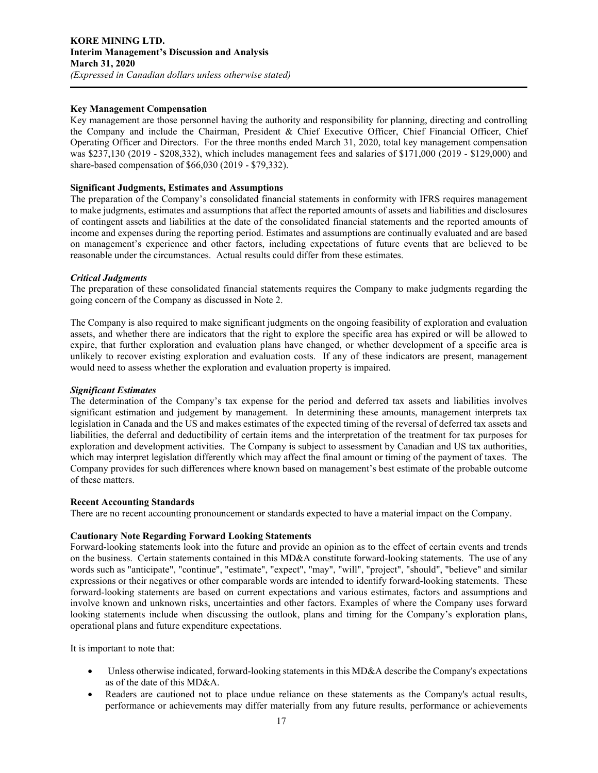# **Key Management Compensation**

Key management are those personnel having the authority and responsibility for planning, directing and controlling the Company and include the Chairman, President & Chief Executive Officer, Chief Financial Officer, Chief Operating Officer and Directors. For the three months ended March 31, 2020, total key management compensation was \$237,130 (2019 - \$208,332), which includes management fees and salaries of \$171,000 (2019 - \$129,000) and share-based compensation of \$66,030 (2019 - \$79,332).

# **Significant Judgments, Estimates and Assumptions**

The preparation of the Company's consolidated financial statements in conformity with IFRS requires management to make judgments, estimates and assumptions that affect the reported amounts of assets and liabilities and disclosures of contingent assets and liabilities at the date of the consolidated financial statements and the reported amounts of income and expenses during the reporting period. Estimates and assumptions are continually evaluated and are based on management's experience and other factors, including expectations of future events that are believed to be reasonable under the circumstances. Actual results could differ from these estimates.

#### *Critical Judgments*

The preparation of these consolidated financial statements requires the Company to make judgments regarding the going concern of the Company as discussed in Note 2.

The Company is also required to make significant judgments on the ongoing feasibility of exploration and evaluation assets, and whether there are indicators that the right to explore the specific area has expired or will be allowed to expire, that further exploration and evaluation plans have changed, or whether development of a specific area is unlikely to recover existing exploration and evaluation costs. If any of these indicators are present, management would need to assess whether the exploration and evaluation property is impaired.

#### *Significant Estimates*

The determination of the Company's tax expense for the period and deferred tax assets and liabilities involves significant estimation and judgement by management. In determining these amounts, management interprets tax legislation in Canada and the US and makes estimates of the expected timing of the reversal of deferred tax assets and liabilities, the deferral and deductibility of certain items and the interpretation of the treatment for tax purposes for exploration and development activities. The Company is subject to assessment by Canadian and US tax authorities, which may interpret legislation differently which may affect the final amount or timing of the payment of taxes. The Company provides for such differences where known based on management's best estimate of the probable outcome of these matters.

#### **Recent Accounting Standards**

There are no recent accounting pronouncement or standards expected to have a material impact on the Company.

#### **Cautionary Note Regarding Forward Looking Statements**

Forward-looking statements look into the future and provide an opinion as to the effect of certain events and trends on the business. Certain statements contained in this MD&A constitute forward-looking statements. The use of any words such as "anticipate", "continue", "estimate", "expect", "may", "will", "project", "should", "believe" and similar expressions or their negatives or other comparable words are intended to identify forward-looking statements. These forward-looking statements are based on current expectations and various estimates, factors and assumptions and involve known and unknown risks, uncertainties and other factors. Examples of where the Company uses forward looking statements include when discussing the outlook, plans and timing for the Company's exploration plans, operational plans and future expenditure expectations.

It is important to note that:

- Unless otherwise indicated, forward-looking statements in this MD&A describe the Company's expectations as of the date of this MD&A.
- Readers are cautioned not to place undue reliance on these statements as the Company's actual results, performance or achievements may differ materially from any future results, performance or achievements